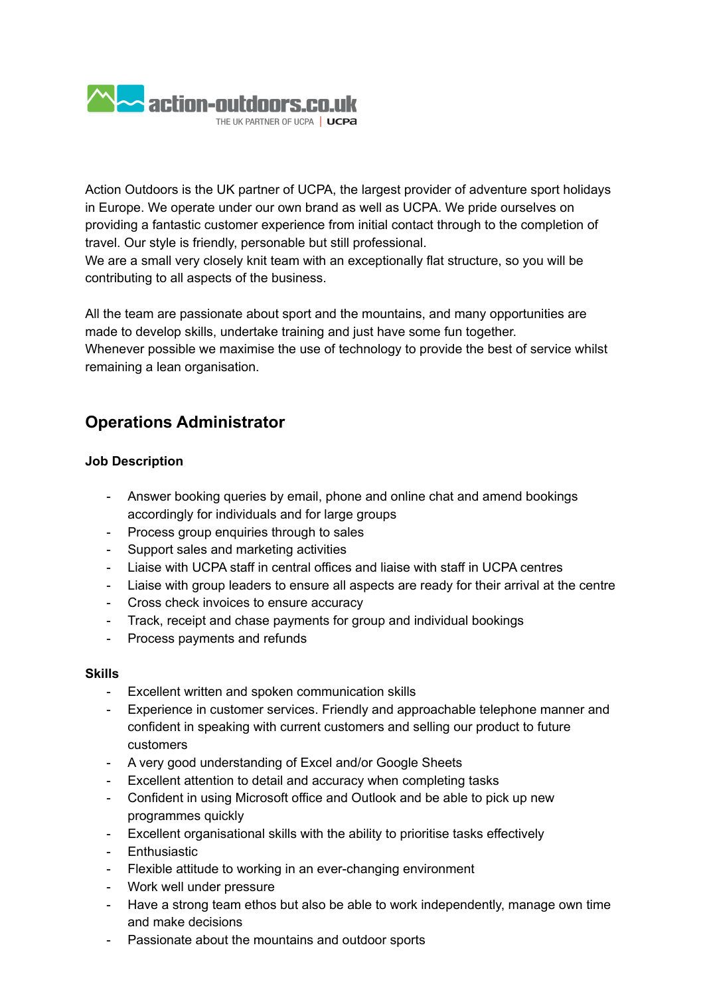

Action Outdoors is the UK partner of UCPA, the largest provider of adventure sport holidays in Europe. We operate under our own brand as well as UCPA. We pride ourselves on providing a fantastic customer experience from initial contact through to the completion of travel. Our style is friendly, personable but still professional.

We are a small very closely knit team with an exceptionally flat structure, so you will be contributing to all aspects of the business.

All the team are passionate about sport and the mountains, and many opportunities are made to develop skills, undertake training and just have some fun together. Whenever possible we maximise the use of technology to provide the best of service whilst remaining a lean organisation.

## **Operations Administrator**

## **Job Description**

- Answer booking queries by email, phone and online chat and amend bookings accordingly for individuals and for large groups
- Process group enquiries through to sales
- Support sales and marketing activities
- Liaise with UCPA staff in central offices and liaise with staff in UCPA centres
- Liaise with group leaders to ensure all aspects are ready for their arrival at the centre
- Cross check invoices to ensure accuracy
- Track, receipt and chase payments for group and individual bookings
- Process payments and refunds

## **Skills**

- Excellent written and spoken communication skills
- Experience in customer services. Friendly and approachable telephone manner and confident in speaking with current customers and selling our product to future customers
- A very good understanding of Excel and/or Google Sheets
- Excellent attention to detail and accuracy when completing tasks
- Confident in using Microsoft office and Outlook and be able to pick up new programmes quickly
- Excellent organisational skills with the ability to prioritise tasks effectively
- Enthusiastic
- Flexible attitude to working in an ever-changing environment
- Work well under pressure
- Have a strong team ethos but also be able to work independently, manage own time and make decisions
- Passionate about the mountains and outdoor sports